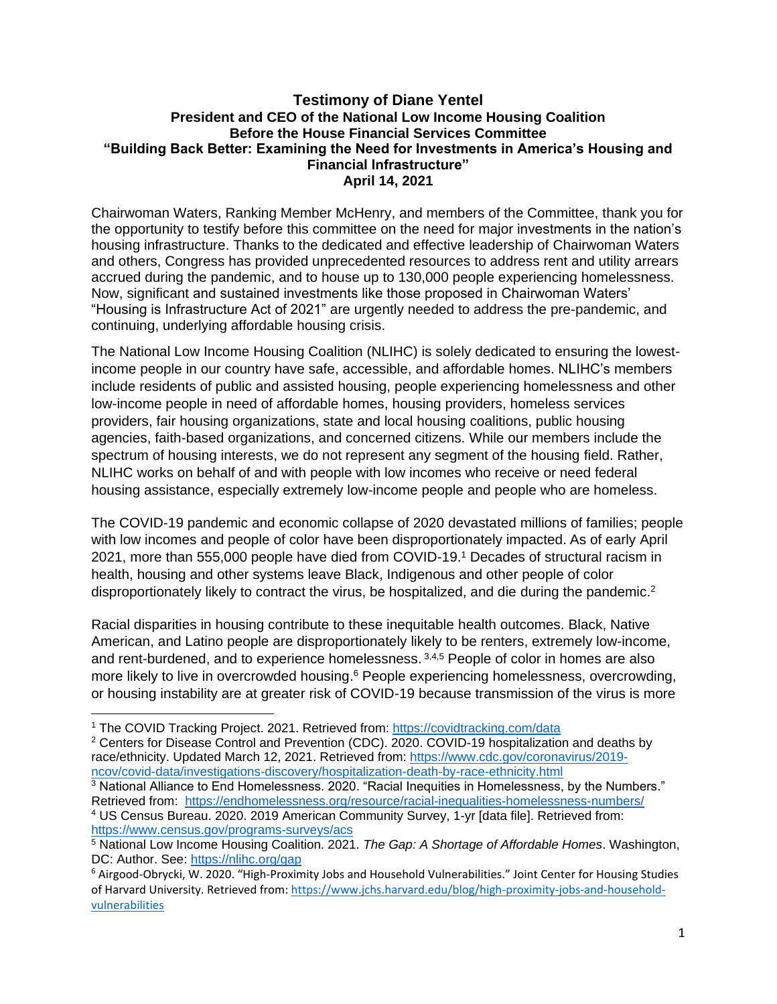#### **Testimony of Diane Yentel President and CEO of the National Low Income Housing Coalition Before the House Financial Services Committee "Building Back Better: Examining the Need for Investments in America's Housing and Financial Infrastructure" April 14, 2021**

Chairwoman Waters, Ranking Member McHenry, and members of the Committee, thank you for the opportunity to testify before this committee on the need for major investments in the nation's housing infrastructure. Thanks to the dedicated and effective leadership of Chairwoman Waters and others, Congress has provided unprecedented resources to address rent and utility arrears accrued during the pandemic, and to house up to 130,000 people experiencing homelessness. Now, significant and sustained investments like those proposed in Chairwoman Waters' "Housing is Infrastructure Act of 2021" are urgently needed to address the pre-pandemic, and continuing, underlying affordable housing crisis.

The National Low Income Housing Coalition (NLIHC) is solely dedicated to ensuring the lowestincome people in our country have safe, accessible, and affordable homes. NLIHC's members include residents of public and assisted housing, people experiencing homelessness and other low-income people in need of affordable homes, housing providers, homeless services providers, fair housing organizations, state and local housing coalitions, public housing agencies, faith-based organizations, and concerned citizens. While our members include the spectrum of housing interests, we do not represent any segment of the housing field. Rather, NLIHC works on behalf of and with people with low incomes who receive or need federal housing assistance, especially extremely low-income people and people who are homeless.

The COVID-19 pandemic and economic collapse of 2020 devastated millions of families; people with low incomes and people of color have been disproportionately impacted. As of early April 2021, more than 555,000 people have died from COVID-19. <sup>1</sup> Decades of structural racism in health, housing and other systems leave Black, Indigenous and other people of color disproportionately likely to contract the virus, be hospitalized, and die during the pandemic.<sup>2</sup>

Racial disparities in housing contribute to these inequitable health outcomes. Black, Native American, and Latino people are disproportionately likely to be renters, extremely low-income, and rent-burdened, and to experience homelessness. 3,4,5 People of color in homes are also more likely to live in overcrowded housing.<sup>6</sup> People experiencing homelessness, overcrowding, or housing instability are at greater risk of COVID-19 because transmission of the virus is more

<sup>3</sup> National Alliance to End Homelessness. 2020. "Racial Inequities in Homelessness, by the Numbers." Retrieved from: <https://endhomelessness.org/resource/racial-inequalities-homelessness-numbers/> <sup>4</sup> US Census Bureau. 2020. 2019 American Community Survey, 1-yr [data file]. Retrieved from: <https://www.census.gov/programs-surveys/acs>

<sup>1</sup> The COVID Tracking Project. 2021. Retrieved from:<https://covidtracking.com/data>

<sup>2</sup> Centers for Disease Control and Prevention (CDC). 2020. COVID-19 hospitalization and deaths by race/ethnicity. Updated March 12, 2021. Retrieved from: [https://www.cdc.gov/coronavirus/2019](https://www.cdc.gov/coronavirus/2019-ncov/covid-data/investigations-discovery/hospitalization-death-by-race-ethnicity.html) [ncov/covid-data/investigations-discovery/hospitalization-death-by-race-ethnicity.html](https://www.cdc.gov/coronavirus/2019-ncov/covid-data/investigations-discovery/hospitalization-death-by-race-ethnicity.html)

<sup>5</sup> National Low Income Housing Coalition. 2021. *The Gap: A Shortage of Affordable Homes*. Washington, DC: Author. See:<https://nlihc.org/gap>

<sup>6</sup> Airgood-Obrycki, W. 2020. "High-Proximity Jobs and Household Vulnerabilities." Joint Center for Housing Studies of Harvard University. Retrieved from[: https://www.jchs.harvard.edu/blog/high-proximity-jobs-and-household](https://www.jchs.harvard.edu/blog/high-proximity-jobs-and-household-vulnerabilities)[vulnerabilities](https://www.jchs.harvard.edu/blog/high-proximity-jobs-and-household-vulnerabilities)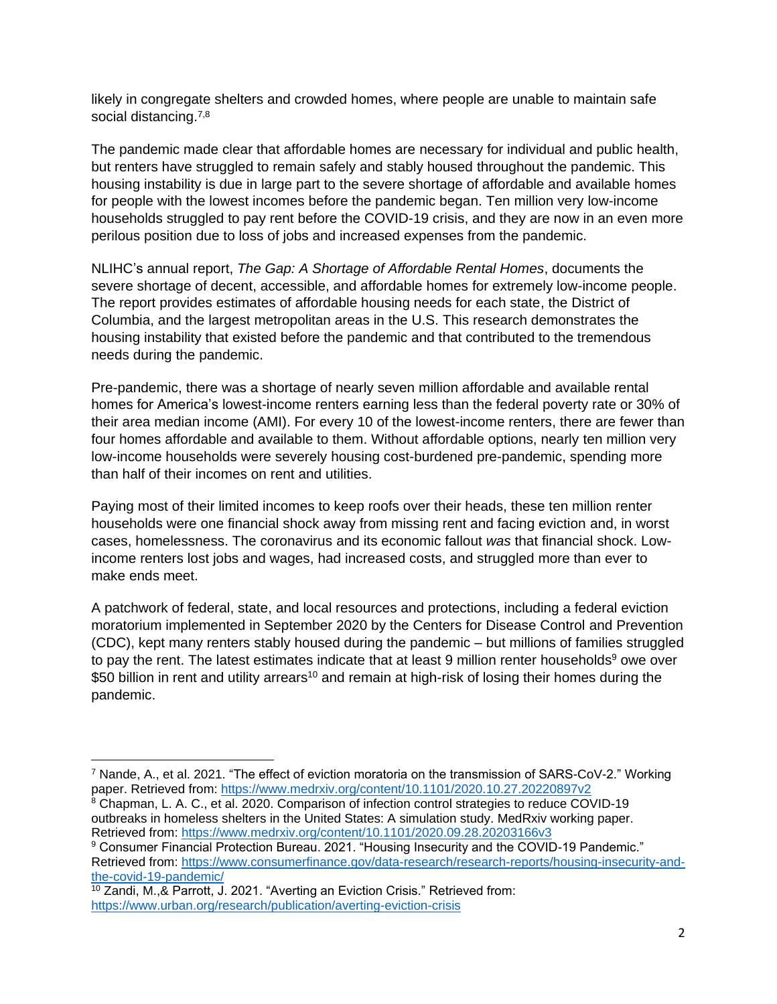likely in congregate shelters and crowded homes, where people are unable to maintain safe social distancing.<sup>7,8</sup>

The pandemic made clear that affordable homes are necessary for individual and public health, but renters have struggled to remain safely and stably housed throughout the pandemic. This housing instability is due in large part to the severe shortage of affordable and available homes for people with the lowest incomes before the pandemic began. Ten million very low-income households struggled to pay rent before the COVID-19 crisis, and they are now in an even more perilous position due to loss of jobs and increased expenses from the pandemic.

NLIHC's annual report, *The Gap: A Shortage of Affordable Rental Homes*, documents the severe shortage of decent, accessible, and affordable homes for extremely low-income people. The report provides estimates of affordable housing needs for each state, the District of Columbia, and the largest metropolitan areas in the U.S. This research demonstrates the housing instability that existed before the pandemic and that contributed to the tremendous needs during the pandemic.

Pre-pandemic, there was a shortage of nearly seven million affordable and available rental homes for America's lowest-income renters earning less than the federal poverty rate or 30% of their area median income (AMI). For every 10 of the lowest-income renters, there are fewer than four homes affordable and available to them. Without affordable options, nearly ten million very low-income households were severely housing cost-burdened pre-pandemic, spending more than half of their incomes on rent and utilities.

Paying most of their limited incomes to keep roofs over their heads, these ten million renter households were one financial shock away from missing rent and facing eviction and, in worst cases, homelessness. The coronavirus and its economic fallout *was* that financial shock. Lowincome renters lost jobs and wages, had increased costs, and struggled more than ever to make ends meet.

A patchwork of federal, state, and local resources and protections, including a federal eviction moratorium implemented in September 2020 by the Centers for Disease Control and Prevention (CDC), kept many renters stably housed during the pandemic – but millions of families struggled to pay the rent. The latest estimates indicate that at least 9 million renter households<sup>9</sup> owe over \$50 billion in rent and utility arrears<sup>10</sup> and remain at high-risk of losing their homes during the pandemic.

 $^7$  Nande, A., et al. 2021. "The effect of eviction moratoria on the transmission of SARS-CoV-2." Working paper. Retrieved from:<https://www.medrxiv.org/content/10.1101/2020.10.27.20220897v2>

<sup>&</sup>lt;sup>8</sup> Chapman, L. A. C., et al. 2020. Comparison of infection control strategies to reduce COVID-19 outbreaks in homeless shelters in the United States: A simulation study. MedRxiv working paper. Retrieved from:<https://www.medrxiv.org/content/10.1101/2020.09.28.20203166v3>

<sup>9</sup> Consumer Financial Protection Bureau. 2021. "Housing Insecurity and the COVID-19 Pandemic." Retrieved from: [https://www.consumerfinance.gov/data-research/research-reports/housing-insecurity-and](https://www.consumerfinance.gov/data-research/research-reports/housing-insecurity-and-the-covid-19-pandemic/)[the-covid-19-pandemic/](https://www.consumerfinance.gov/data-research/research-reports/housing-insecurity-and-the-covid-19-pandemic/)

<sup>10</sup> Zandi, M.,& Parrott, J. 2021. "Averting an Eviction Crisis." Retrieved from: <https://www.urban.org/research/publication/averting-eviction-crisis>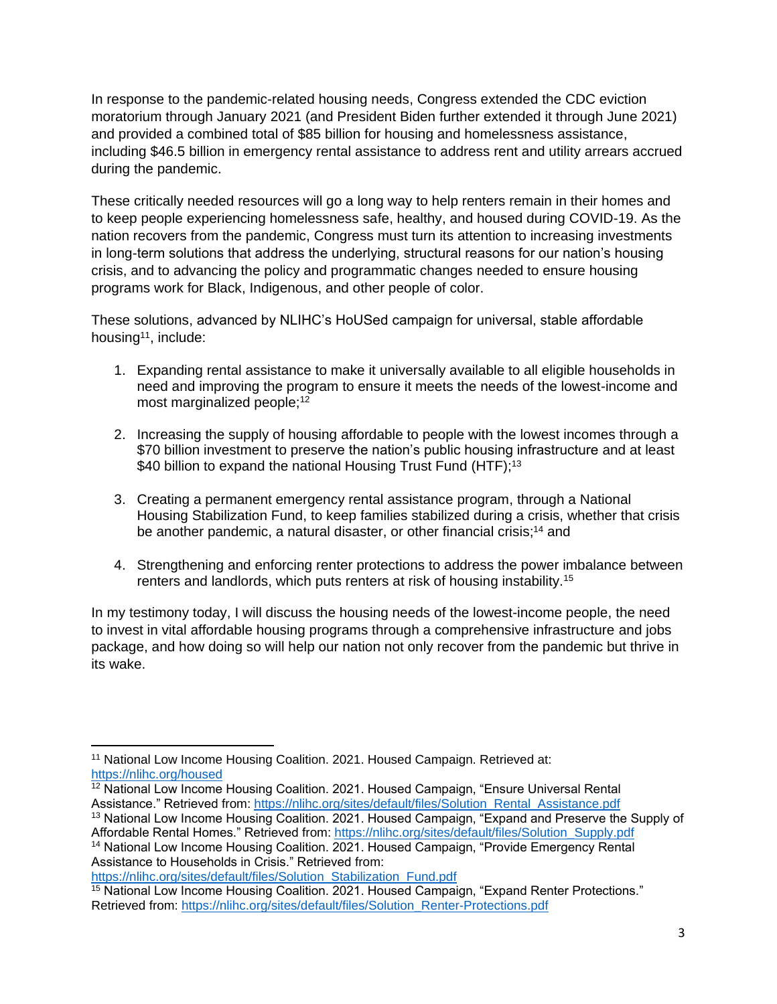In response to the pandemic-related housing needs, Congress extended the CDC eviction moratorium through January 2021 (and President Biden further extended it through June 2021) and provided a combined total of \$85 billion for housing and homelessness assistance, including \$46.5 billion in emergency rental assistance to address rent and utility arrears accrued during the pandemic.

These critically needed resources will go a long way to help renters remain in their homes and to keep people experiencing homelessness safe, healthy, and housed during COVID-19. As the nation recovers from the pandemic, Congress must turn its attention to increasing investments in long-term solutions that address the underlying, structural reasons for our nation's housing crisis, and to advancing the policy and programmatic changes needed to ensure housing programs work for Black, Indigenous, and other people of color.

These solutions, advanced by NLIHC's HoUSed campaign for universal, stable affordable housing<sup>11</sup>, include:

- 1. Expanding rental assistance to make it universally available to all eligible households in need and improving the program to ensure it meets the needs of the lowest-income and most marginalized people;<sup>12</sup>
- 2. Increasing the supply of housing affordable to people with the lowest incomes through a \$70 billion investment to preserve the nation's public housing infrastructure and at least \$40 billion to expand the national Housing Trust Fund (HTF);<sup>13</sup>
- 3. Creating a permanent emergency rental assistance program, through a National Housing Stabilization Fund, to keep families stabilized during a crisis, whether that crisis be another pandemic, a natural disaster, or other financial crisis;<sup>14</sup> and
- 4. Strengthening and enforcing renter protections to address the power imbalance between renters and landlords, which puts renters at risk of housing instability.<sup>15</sup>

In my testimony today, I will discuss the housing needs of the lowest-income people, the need to invest in vital affordable housing programs through a comprehensive infrastructure and jobs package, and how doing so will help our nation not only recover from the pandemic but thrive in its wake.

[https://nlihc.org/sites/default/files/Solution\\_Stabilization\\_Fund.pdf](https://nlihc.org/sites/default/files/Solution_Stabilization_Fund.pdf)

<sup>&</sup>lt;sup>11</sup> National Low Income Housing Coalition. 2021. Housed Campaign. Retrieved at: <https://nlihc.org/housed>

 $12$  National Low Income Housing Coalition. 2021. Housed Campaign, "Ensure Universal Rental Assistance." Retrieved from: [https://nlihc.org/sites/default/files/Solution\\_Rental\\_Assistance.pdf](https://nlihc.org/sites/default/files/Solution_Rental_Assistance.pdf)

<sup>&</sup>lt;sup>13</sup> National Low Income Housing Coalition. 2021. Housed Campaign, "Expand and Preserve the Supply of Affordable Rental Homes." Retrieved from: [https://nlihc.org/sites/default/files/Solution\\_Supply.pdf](https://nlihc.org/sites/default/files/Solution_Supply.pdf)

<sup>&</sup>lt;sup>14</sup> National Low Income Housing Coalition. 2021. Housed Campaign, "Provide Emergency Rental Assistance to Households in Crisis." Retrieved from:

<sup>&</sup>lt;sup>15</sup> National Low Income Housing Coalition. 2021. Housed Campaign, "Expand Renter Protections." Retrieved from: [https://nlihc.org/sites/default/files/Solution\\_Renter-Protections.pdf](https://nlihc.org/sites/default/files/Solution_Renter-Protections.pdf)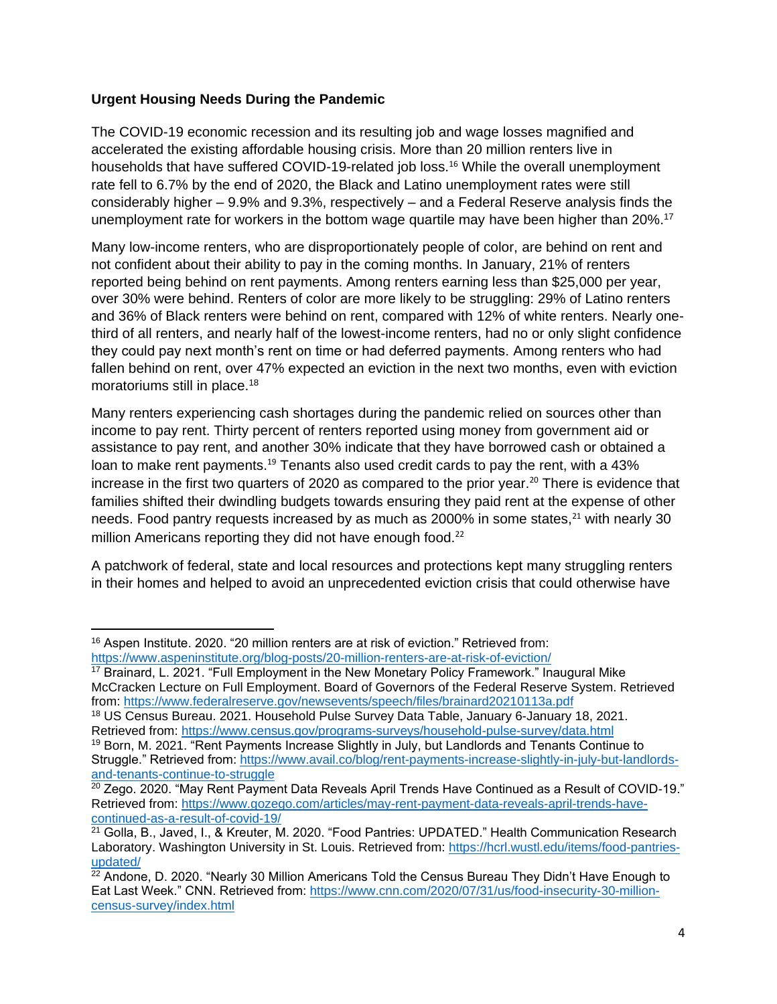### **Urgent Housing Needs During the Pandemic**

The COVID-19 economic recession and its resulting job and wage losses magnified and accelerated the existing affordable housing crisis. More than 20 million renters live in households that have suffered COVID-19-related job loss.<sup>16</sup> While the overall unemployment rate fell to 6.7% by the end of 2020, the Black and Latino unemployment rates were still considerably higher – 9.9% and 9.3%, respectively – and a Federal Reserve analysis finds the unemployment rate for workers in the bottom wage quartile may have been higher than 20%.<sup>17</sup>

Many low-income renters, who are disproportionately people of color, are behind on rent and not confident about their ability to pay in the coming months. In January, 21% of renters reported being behind on rent payments. Among renters earning less than \$25,000 per year, over 30% were behind. Renters of color are more likely to be struggling: 29% of Latino renters and 36% of Black renters were behind on rent, compared with 12% of white renters. Nearly onethird of all renters, and nearly half of the lowest-income renters, had no or only slight confidence they could pay next month's rent on time or had deferred payments. Among renters who had fallen behind on rent, over 47% expected an eviction in the next two months, even with eviction moratoriums still in place.<sup>18</sup>

Many renters experiencing cash shortages during the pandemic relied on sources other than income to pay rent. Thirty percent of renters reported using money from government aid or assistance to pay rent, and another 30% indicate that they have borrowed cash or obtained a loan to make rent payments.<sup>19</sup> Tenants also used credit cards to pay the rent, with a 43% increase in the first two quarters of 2020 as compared to the prior year.<sup>20</sup> There is evidence that families shifted their dwindling budgets towards ensuring they paid rent at the expense of other needs. Food pantry requests increased by as much as 2000% in some states, $^{21}$  with nearly 30 million Americans reporting they did not have enough food.<sup>22</sup>

A patchwork of federal, state and local resources and protections kept many struggling renters in their homes and helped to avoid an unprecedented eviction crisis that could otherwise have

 $16$  Aspen Institute. 2020. "20 million renters are at risk of eviction." Retrieved from: <https://www.aspeninstitute.org/blog-posts/20-million-renters-are-at-risk-of-eviction/>

<sup>&</sup>lt;sup>17</sup> Brainard, L. 2021. "Full Employment in the New Monetary Policy Framework." Inaugural Mike McCracken Lecture on Full Employment. Board of Governors of the Federal Reserve System. Retrieved from:<https://www.federalreserve.gov/newsevents/speech/files/brainard20210113a.pdf>

<sup>18</sup> US Census Bureau. 2021. Household Pulse Survey Data Table, January 6-January 18, 2021. Retrieved from:<https://www.census.gov/programs-surveys/household-pulse-survey/data.html>

<sup>&</sup>lt;sup>19</sup> Born, M. 2021. "Rent Payments Increase Slightly in July, but Landlords and Tenants Continue to Struggle." Retrieved from: [https://www.avail.co/blog/rent-payments-increase-slightly-in-july-but-landlords](https://www.avail.co/blog/rent-payments-increase-slightly-in-july-but-landlords-and-tenants-continue-to-struggle)[and-tenants-continue-to-struggle](https://www.avail.co/blog/rent-payments-increase-slightly-in-july-but-landlords-and-tenants-continue-to-struggle) 

<sup>&</sup>lt;sup>20</sup> Zego. 2020. "May Rent Payment Data Reveals April Trends Have Continued as a Result of COVID-19." Retrieved from: [https://www.gozego.com/articles/may-rent-payment-data-reveals-april-trends-have](https://www.gozego.com/articles/may-rent-payment-data-reveals-april-trends-have-continued-as-a-result-of-covid-19/)[continued-as-a-result-of-covid-19/](https://www.gozego.com/articles/may-rent-payment-data-reveals-april-trends-have-continued-as-a-result-of-covid-19/)

<sup>&</sup>lt;sup>21</sup> Golla, B., Javed, I., & Kreuter, M. 2020. "Food Pantries: UPDATED." Health Communication Research Laboratory. Washington University in St. Louis. Retrieved from: [https://hcrl.wustl.edu/items/food-pantries](https://hcrl.wustl.edu/items/food-pantries-updated/)[updated/](https://hcrl.wustl.edu/items/food-pantries-updated/)

 $22$  Andone, D. 2020. "Nearly 30 Million Americans Told the Census Bureau They Didn't Have Enough to Eat Last Week." CNN. Retrieved from: [https://www.cnn.com/2020/07/31/us/food-insecurity-30-million](https://www.cnn.com/2020/07/31/us/food-insecurity-30-million-census-survey/index.html)[census-survey/index.html](https://www.cnn.com/2020/07/31/us/food-insecurity-30-million-census-survey/index.html)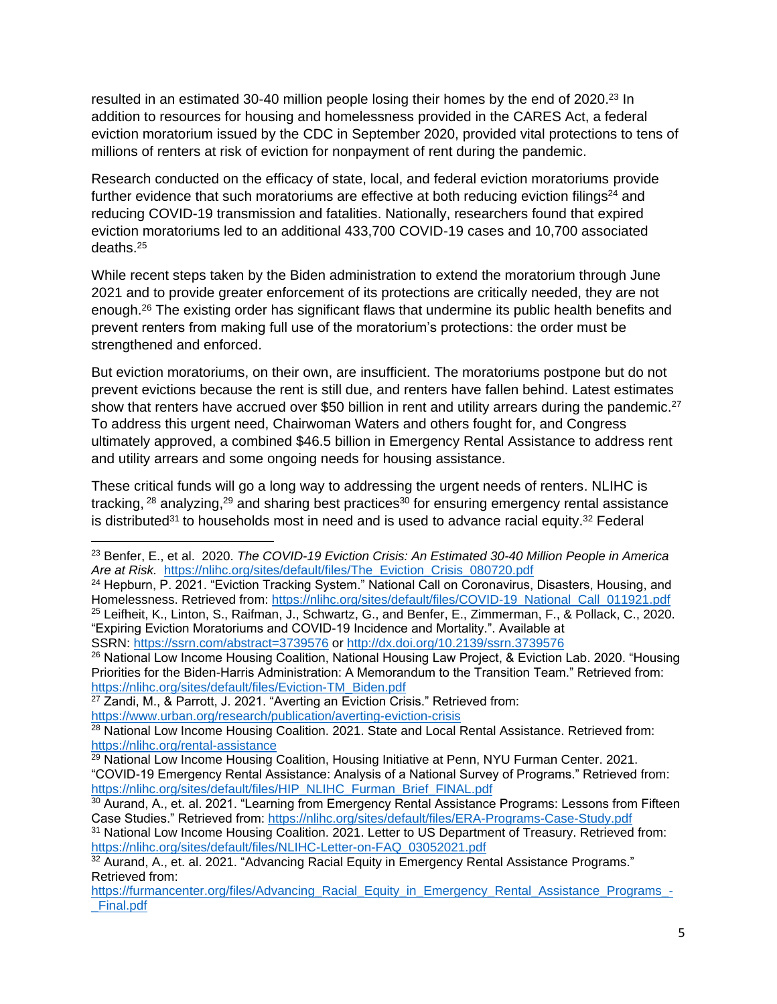resulted in an estimated 30-40 million people losing their homes by the end of 2020.<sup>23</sup> In addition to resources for housing and homelessness provided in the CARES Act, a federal eviction moratorium issued by the CDC in September 2020, provided vital protections to tens of millions of renters at risk of eviction for nonpayment of rent during the pandemic.

Research conducted on the efficacy of state, local, and federal eviction moratoriums provide further evidence that such moratoriums are effective at both reducing eviction filings $24$  and reducing COVID-19 transmission and fatalities. Nationally, researchers found that expired eviction moratoriums led to an additional 433,700 COVID-19 cases and 10,700 associated deaths.<sup>25</sup>

While recent steps taken by the Biden administration to extend the moratorium through June 2021 and to provide greater enforcement of its protections are critically needed, they are not enough.<sup>26</sup> The existing order has significant flaws that undermine its public health benefits and prevent renters from making full use of the moratorium's protections: the order must be strengthened and enforced.

But eviction moratoriums, on their own, are insufficient. The moratoriums postpone but do not prevent evictions because the rent is still due, and renters have fallen behind. Latest estimates show that renters have accrued over \$50 billion in rent and utility arrears during the pandemic.<sup>27</sup> To address this urgent need, Chairwoman Waters and others fought for, and Congress ultimately approved, a combined \$46.5 billion in Emergency Rental Assistance to address rent and utility arrears and some ongoing needs for housing assistance.

These critical funds will go a long way to addressing the urgent needs of renters. NLIHC is tracking, <sup>28</sup> analyzing,<sup>29</sup> and sharing best practices<sup>30</sup> for ensuring emergency rental assistance is distributed<sup>31</sup> to households most in need and is used to advance racial equity.<sup>32</sup> Federal

<sup>23</sup> Benfer, E., et al. 2020. *The COVID-19 Eviction Crisis: An Estimated 30-40 Million People in America Are at Risk.* [https://nlihc.org/sites/default/files/The\\_Eviction\\_Crisis\\_080720.pdf](https://nlihc.org/sites/default/files/The_Eviction_Crisis_080720.pdf)

<sup>&</sup>lt;sup>24</sup> Hepburn, P. 2021. "Eviction Tracking System." National Call on Coronavirus, Disasters, Housing, and Homelessness. Retrieved from: [https://nlihc.org/sites/default/files/COVID-19\\_National\\_Call\\_011921.pdf](https://nlihc.org/sites/default/files/COVID-19_National_Call_011921.pdf) <sup>25</sup> Leifheit, K., Linton, S., Raifman, J., Schwartz, G., and Benfer, E., Zimmerman, F., & Pollack, C., 2020. "Expiring Eviction Moratoriums and COVID-19 Incidence and Mortality.". Available at SSRN: <https://ssrn.com/abstract=3739576> or [http://dx.doi.org/10.2139/ssrn.3739576](https://dx.doi.org/10.2139/ssrn.3739576)

<sup>&</sup>lt;sup>26</sup> National Low Income Housing Coalition, National Housing Law Project, & Eviction Lab. 2020. "Housing Priorities for the Biden-Harris Administration: A Memorandum to the Transition Team." Retrieved from: [https://nlihc.org/sites/default/files/Eviction-TM\\_Biden.pdf](https://nlihc.org/sites/default/files/Eviction-TM_Biden.pdf)

 $27$  Zandi, M., & Parrott, J. 2021. "Averting an Eviction Crisis." Retrieved from: <https://www.urban.org/research/publication/averting-eviction-crisis>

<sup>&</sup>lt;sup>28</sup> National Low Income Housing Coalition. 2021. State and Local Rental Assistance. Retrieved from: <https://nlihc.org/rental-assistance>

 $29$  National Low Income Housing Coalition, Housing Initiative at Penn, NYU Furman Center. 2021. "COVID-19 Emergency Rental Assistance: Analysis of a National Survey of Programs." Retrieved from: [https://nlihc.org/sites/default/files/HIP\\_NLIHC\\_Furman\\_Brief\\_FINAL.pdf](https://nlihc.org/sites/default/files/HIP_NLIHC_Furman_Brief_FINAL.pdf)

<sup>&</sup>lt;sup>30</sup> Aurand, A., et. al. 2021. "Learning from Emergency Rental Assistance Programs: Lessons from Fifteen Case Studies." Retrieved from:<https://nlihc.org/sites/default/files/ERA-Programs-Case-Study.pdf>

<sup>31</sup> National Low Income Housing Coalition. 2021. Letter to US Department of Treasury. Retrieved from: [https://nlihc.org/sites/default/files/NLIHC-Letter-on-FAQ\\_03052021.pdf](https://nlihc.org/sites/default/files/NLIHC-Letter-on-FAQ_03052021.pdf)

 $32$  Aurand, A., et. al. 2021. "Advancing Racial Equity in Emergency Rental Assistance Programs." Retrieved from:

[https://furmancenter.org/files/Advancing\\_Racial\\_Equity\\_in\\_Emergency\\_Rental\\_Assistance\\_Programs\\_-](https://furmancenter.org/files/Advancing_Racial_Equity_in_Emergency_Rental_Assistance_Programs_-_Final.pdf) [\\_Final.pdf](https://furmancenter.org/files/Advancing_Racial_Equity_in_Emergency_Rental_Assistance_Programs_-_Final.pdf)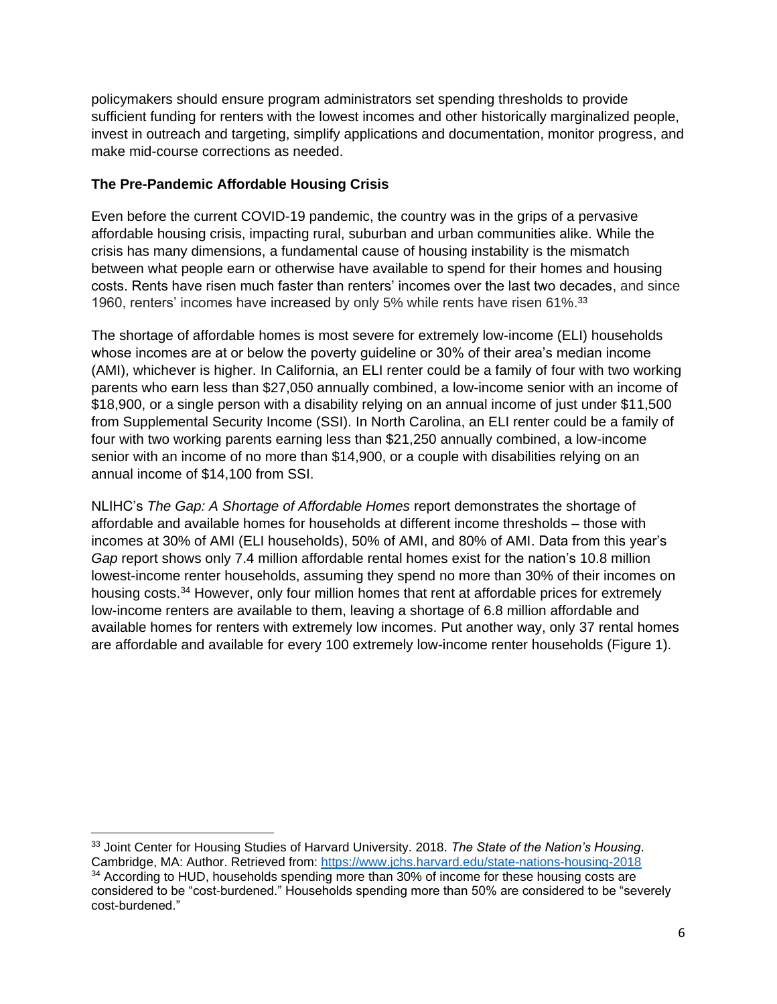policymakers should ensure program administrators set spending thresholds to provide sufficient funding for renters with the lowest incomes and other historically marginalized people, invest in outreach and targeting, simplify applications and documentation, monitor progress, and make mid-course corrections as needed.

# **The Pre-Pandemic Affordable Housing Crisis**

Even before the current COVID-19 pandemic, the country was in the grips of a pervasive affordable housing crisis, impacting rural, suburban and urban communities alike. While the crisis has many dimensions, a fundamental cause of housing instability is the mismatch between what people earn or otherwise have available to spend for their homes and housing costs. Rents have risen much faster than renters' incomes over the last two decades, and since 1960, renters' incomes have increased by only 5% while rents have risen 61%.<sup>33</sup>

The shortage of affordable homes is most severe for extremely low-income (ELI) households whose incomes are at or below the poverty guideline or 30% of their area's median income (AMI), whichever is higher. In California, an ELI renter could be a family of four with two working parents who earn less than \$27,050 annually combined, a low-income senior with an income of \$18,900, or a single person with a disability relying on an annual income of just under \$11,500 from Supplemental Security Income (SSI). In North Carolina, an ELI renter could be a family of four with two working parents earning less than \$21,250 annually combined, a low-income senior with an income of no more than \$14,900, or a couple with disabilities relying on an annual income of \$14,100 from SSI.

NLIHC's *The Gap: A Shortage of Affordable Homes* report demonstrates the shortage of affordable and available homes for households at different income thresholds – those with incomes at 30% of AMI (ELI households), 50% of AMI, and 80% of AMI. Data from this year's *Gap* report shows only 7.4 million affordable rental homes exist for the nation's 10.8 million lowest-income renter households, assuming they spend no more than 30% of their incomes on housing costs.<sup>34</sup> However, only four million homes that rent at affordable prices for extremely low-income renters are available to them, leaving a shortage of 6.8 million affordable and available homes for renters with extremely low incomes. Put another way, only 37 rental homes are affordable and available for every 100 extremely low-income renter households (Figure 1).

<sup>33</sup> Joint Center for Housing Studies of Harvard University. 2018. *The State of the Nation's Housing*. Cambridge, MA: Author. Retrieved from:<https://www.jchs.harvard.edu/state-nations-housing-2018> <sup>34</sup> According to HUD, households spending more than 30% of income for these housing costs are considered to be "cost-burdened." Households spending more than 50% are considered to be "severely cost-burdened."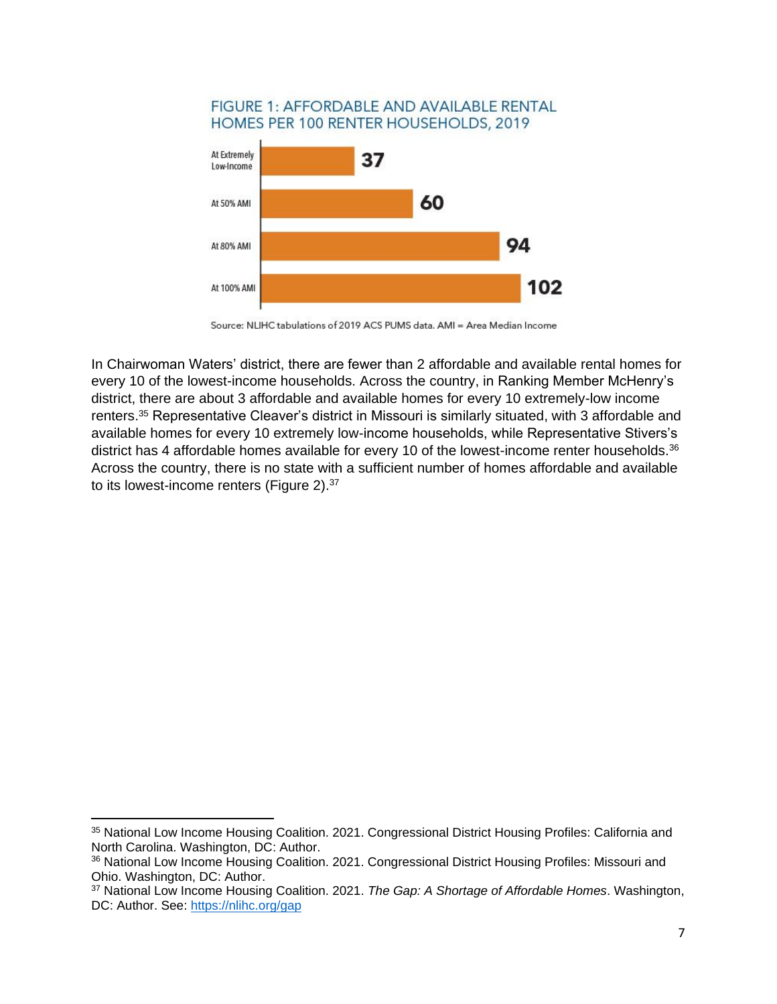#### **FIGURE 1: AFFORDABLE AND AVAILABLE RENTAL** HOMES PER 100 RENTER HOUSEHOLDS, 2019



Source: NLIHC tabulations of 2019 ACS PUMS data, AMI = Area Median Income

In Chairwoman Waters' district, there are fewer than 2 affordable and available rental homes for every 10 of the lowest-income households. Across the country, in Ranking Member McHenry's district, there are about 3 affordable and available homes for every 10 extremely-low income renters. <sup>35</sup> Representative Cleaver's district in Missouri is similarly situated, with 3 affordable and available homes for every 10 extremely low-income households, while Representative Stivers's district has 4 affordable homes available for every 10 of the lowest-income renter households.<sup>36</sup> Across the country, there is no state with a sufficient number of homes affordable and available to its lowest-income renters (Figure 2).<sup>37</sup>

<sup>35</sup> National Low Income Housing Coalition. 2021. Congressional District Housing Profiles: California and North Carolina. Washington, DC: Author.

<sup>&</sup>lt;sup>36</sup> National Low Income Housing Coalition. 2021. Congressional District Housing Profiles: Missouri and Ohio. Washington, DC: Author.

<sup>37</sup> National Low Income Housing Coalition. 2021. *The Gap: A Shortage of Affordable Homes*. Washington, DC: Author. See:<https://nlihc.org/gap>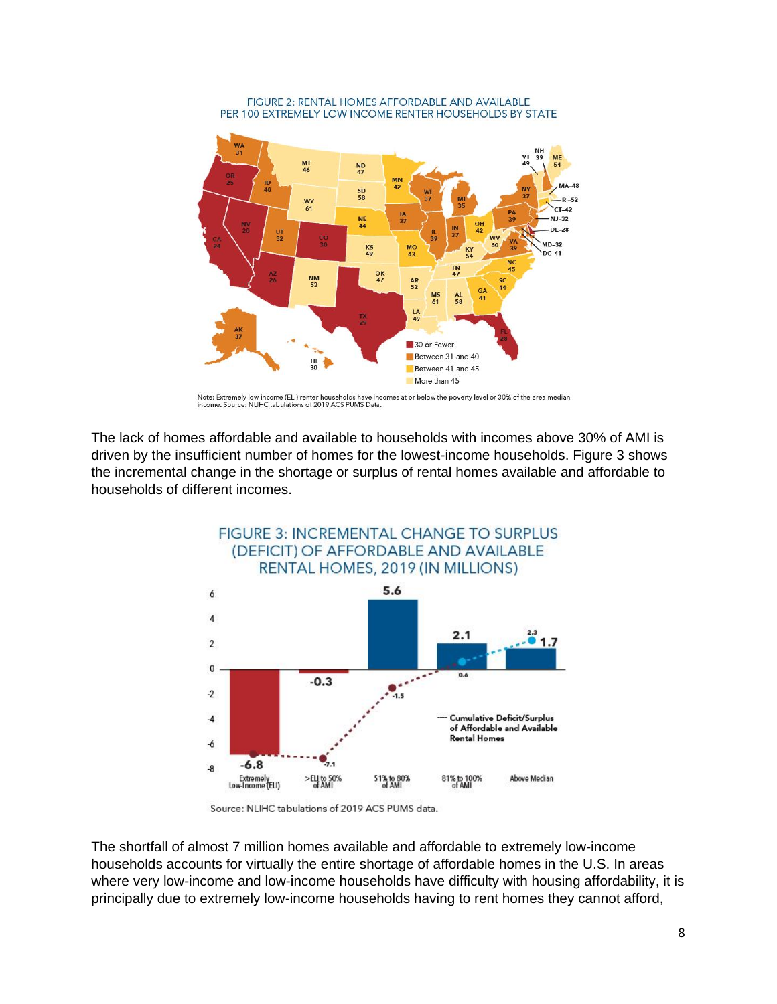

FIGURE 2: RENTAL HOMES AFFORDABLE AND AVAILABLE PER 100 EXTREMELY LOW INCOME RENTER HOUSEHOLDS BY STATE

Note: Extremely low income (ELI) renter households have incomes at or below the poverty level or 30% of the area median<br>income. Source: NLIHC tabulations of 2019 ACS PUMS Data.

The lack of homes affordable and available to households with incomes above 30% of AMI is driven by the insufficient number of homes for the lowest-income households. Figure 3 shows the incremental change in the shortage or surplus of rental homes available and affordable to households of different incomes.



Source: NLIHC tabulations of 2019 ACS PUMS data.

The shortfall of almost 7 million homes available and affordable to extremely low-income households accounts for virtually the entire shortage of affordable homes in the U.S. In areas where very low-income and low-income households have difficulty with housing affordability, it is principally due to extremely low-income households having to rent homes they cannot afford,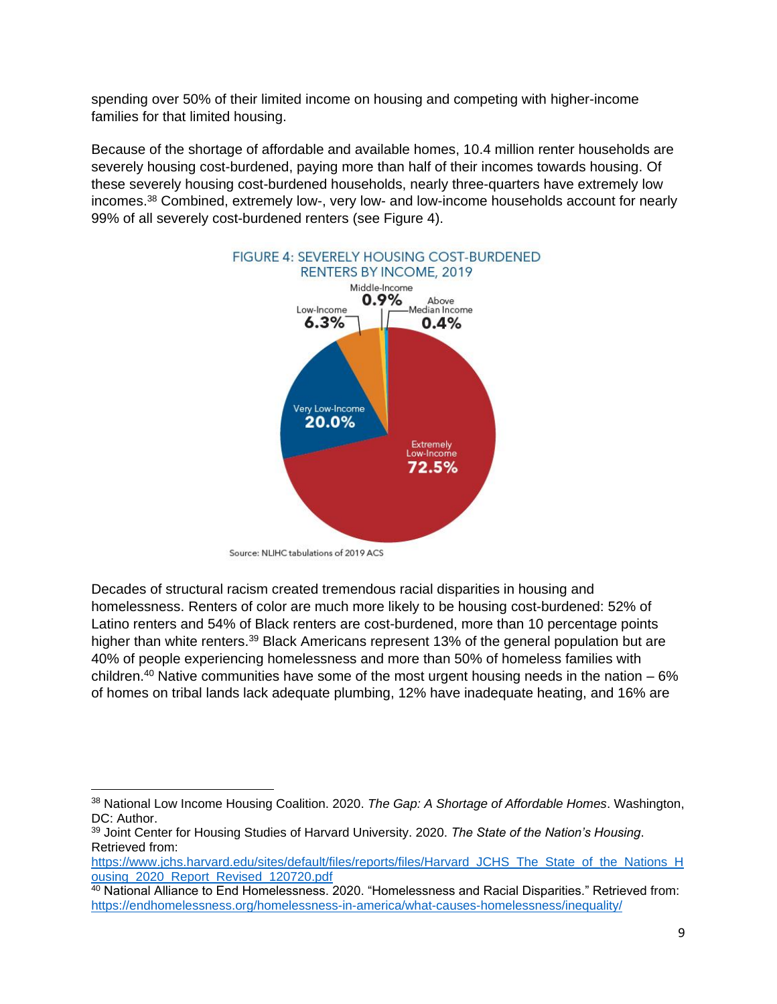spending over 50% of their limited income on housing and competing with higher-income families for that limited housing.

Because of the shortage of affordable and available homes, 10.4 million renter households are severely housing cost-burdened, paying more than half of their incomes towards housing. Of these severely housing cost-burdened households, nearly three-quarters have extremely low incomes. <sup>38</sup> Combined, extremely low-, very low- and low-income households account for nearly 99% of all severely cost-burdened renters (see Figure 4).



Source: NLIHC tabulations of 2019 ACS

Decades of structural racism created tremendous racial disparities in housing and homelessness. Renters of color are much more likely to be housing cost-burdened: 52% of Latino renters and 54% of Black renters are cost-burdened, more than 10 percentage points higher than white renters.<sup>39</sup> Black Americans represent 13% of the general population but are 40% of people experiencing homelessness and more than 50% of homeless families with children.<sup>40</sup> Native communities have some of the most urgent housing needs in the nation  $-6\%$ of homes on tribal lands lack adequate plumbing, 12% have inadequate heating, and 16% are

<sup>38</sup> National Low Income Housing Coalition. 2020. *The Gap: A Shortage of Affordable Homes*. Washington, DC: Author.

<sup>39</sup> Joint Center for Housing Studies of Harvard University. 2020. *The State of the Nation's Housing*. Retrieved from:

[https://www.jchs.harvard.edu/sites/default/files/reports/files/Harvard\\_JCHS\\_The\\_State\\_of\\_the\\_Nations\\_H](https://www.jchs.harvard.edu/sites/default/files/reports/files/Harvard_JCHS_The_State_of_the_Nations_Housing_2020_Report_Revised_120720.pdf) [ousing\\_2020\\_Report\\_Revised\\_120720.pdf](https://www.jchs.harvard.edu/sites/default/files/reports/files/Harvard_JCHS_The_State_of_the_Nations_Housing_2020_Report_Revised_120720.pdf) 

<sup>&</sup>lt;sup>40</sup> National Alliance to End Homelessness. 2020. "Homelessness and Racial Disparities." Retrieved from: <https://endhomelessness.org/homelessness-in-america/what-causes-homelessness/inequality/>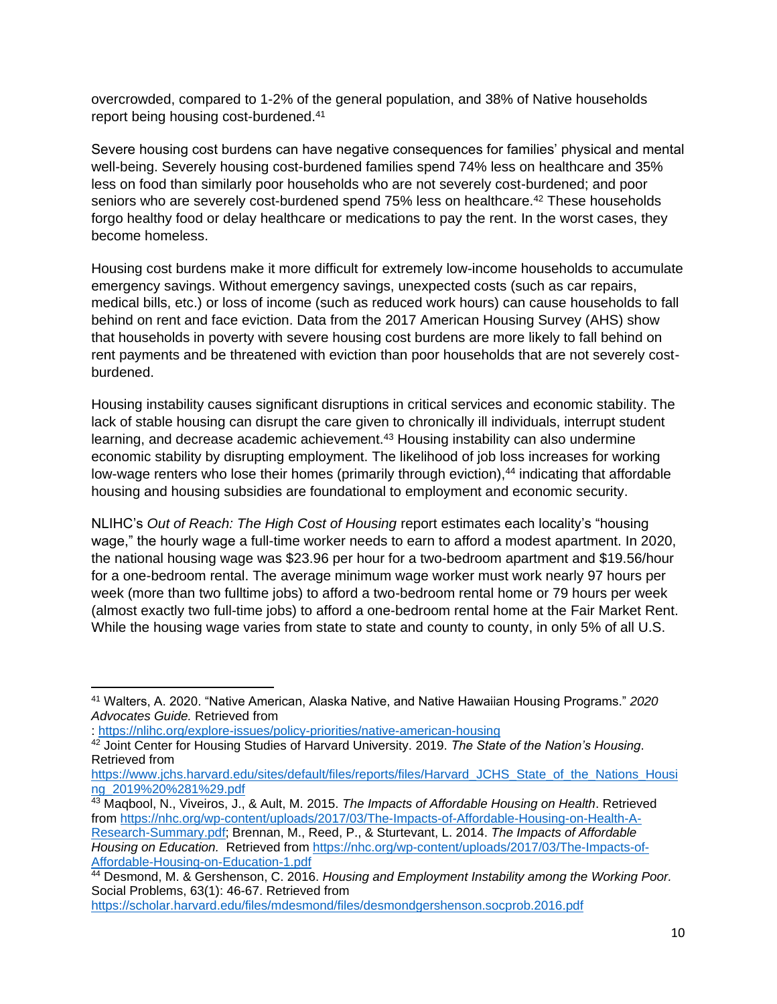overcrowded, compared to 1-2% of the general population, and 38% of Native households report being housing cost-burdened.<sup>41</sup>

Severe housing cost burdens can have negative consequences for families' physical and mental well-being. Severely housing cost-burdened families spend 74% less on healthcare and 35% less on food than similarly poor households who are not severely cost-burdened; and poor seniors who are severely cost-burdened spend 75% less on healthcare.<sup>42</sup> These households forgo healthy food or delay healthcare or medications to pay the rent. In the worst cases, they become homeless.

Housing cost burdens make it more difficult for extremely low-income households to accumulate emergency savings. Without emergency savings, unexpected costs (such as car repairs, medical bills, etc.) or loss of income (such as reduced work hours) can cause households to fall behind on rent and face eviction. Data from the 2017 American Housing Survey (AHS) show that households in poverty with severe housing cost burdens are more likely to fall behind on rent payments and be threatened with eviction than poor households that are not severely costburdened.

Housing instability causes significant disruptions in critical services and economic stability. The lack of stable housing can disrupt the care given to chronically ill individuals, interrupt student learning, and decrease academic achievement.<sup>43</sup> Housing instability can also undermine economic stability by disrupting employment. The likelihood of job loss increases for working low-wage renters who lose their homes (primarily through eviction),<sup>44</sup> indicating that affordable housing and housing subsidies are foundational to employment and economic security.

NLIHC's *Out of Reach: The High Cost of Housing* report estimates each locality's "housing wage," the hourly wage a full-time worker needs to earn to afford a modest apartment. In 2020, the national housing wage was \$23.96 per hour for a two-bedroom apartment and \$19.56/hour for a one-bedroom rental. The average minimum wage worker must work nearly 97 hours per week (more than two fulltime jobs) to afford a two-bedroom rental home or 79 hours per week (almost exactly two full-time jobs) to afford a one-bedroom rental home at the Fair Market Rent. While the housing wage varies from state to state and county to county, in only 5% of all U.S.

<sup>41</sup> Walters, A. 2020. "Native American, Alaska Native, and Native Hawaiian Housing Programs." *2020 Advocates Guide.* Retrieved from

<sup>:</sup><https://nlihc.org/explore-issues/policy-priorities/native-american-housing>

<sup>42</sup> Joint Center for Housing Studies of Harvard University. 2019. *The State of the Nation's Housing*. Retrieved from

[https://www.jchs.harvard.edu/sites/default/files/reports/files/Harvard\\_JCHS\\_State\\_of\\_the\\_Nations\\_Housi](https://www.jchs.harvard.edu/sites/default/files/reports/files/Harvard_JCHS_State_of_the_Nations_Housing_2019%20%281%29.pdf) [ng\\_2019%20%281%29.pdf](https://www.jchs.harvard.edu/sites/default/files/reports/files/Harvard_JCHS_State_of_the_Nations_Housing_2019%20%281%29.pdf)

<sup>43</sup> Maqbool, N., Viveiros, J., & Ault, M. 2015. *The Impacts of Affordable Housing on Health*. Retrieved from [https://nhc.org/wp-content/uploads/2017/03/The-Impacts-of-Affordable-Housing-on-Health-A-](https://nhc.org/wp-content/uploads/2017/03/The-Impacts-of-Affordable-Housing-on-Health-A-Research-Summary.pdf)[Research-Summary.pdf;](https://nhc.org/wp-content/uploads/2017/03/The-Impacts-of-Affordable-Housing-on-Health-A-Research-Summary.pdf) Brennan, M., Reed, P., & Sturtevant, L. 2014. *The Impacts of Affordable Housing on Education.* Retrieved from [https://nhc.org/wp-content/uploads/2017/03/The-Impacts-of-](https://nhc.org/wp-content/uploads/2017/03/The-Impacts-of-Affordable-Housing-on-Education-1.pdf)[Affordable-Housing-on-Education-1.pdf](https://nhc.org/wp-content/uploads/2017/03/The-Impacts-of-Affordable-Housing-on-Education-1.pdf)

<sup>44</sup> Desmond, M. & Gershenson, C. 2016. *Housing and Employment Instability among the Working Poor.* Social Problems, 63(1): 46-67. Retrieved from

<https://scholar.harvard.edu/files/mdesmond/files/desmondgershenson.socprob.2016.pdf>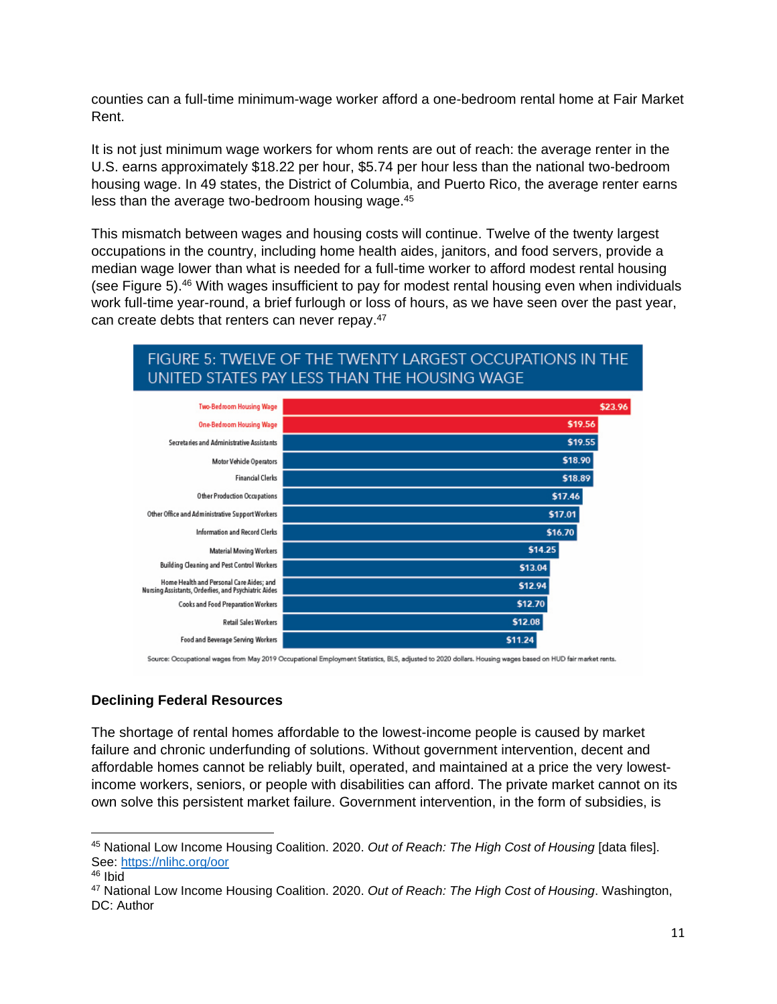counties can a full-time minimum-wage worker afford a one-bedroom rental home at Fair Market Rent.

It is not just minimum wage workers for whom rents are out of reach: the average renter in the U.S. earns approximately \$18.22 per hour, \$5.74 per hour less than the national two-bedroom housing wage. In 49 states, the District of Columbia, and Puerto Rico, the average renter earns less than the average two-bedroom housing wage.<sup>45</sup>

This mismatch between wages and housing costs will continue. Twelve of the twenty largest occupations in the country, including home health aides, janitors, and food servers, provide a median wage lower than what is needed for a full-time worker to afford modest rental housing (see Figure 5). <sup>46</sup> With wages insufficient to pay for modest rental housing even when individuals work full-time year-round, a brief furlough or loss of hours, as we have seen over the past year, can create debts that renters can never repay.<sup>47</sup>

# FIGURE 5: TWELVE OF THE TWENTY LARGEST OCCUPATIONS IN THE UNITED STATES PAY LESS THAN THE HOUSING WAGE



Source: Occupational wages from May 2019 Occupational Employment Statistics, BLS, adjusted to 2020 dollars. Housing wages based on HUD fair market rents.

#### **Declining Federal Resources**

The shortage of rental homes affordable to the lowest-income people is caused by market failure and chronic underfunding of solutions. Without government intervention, decent and affordable homes cannot be reliably built, operated, and maintained at a price the very lowestincome workers, seniors, or people with disabilities can afford. The private market cannot on its own solve this persistent market failure. Government intervention, in the form of subsidies, is

<sup>45</sup> National Low Income Housing Coalition. 2020. *Out of Reach: The High Cost of Housing* [data files]. See:<https://nlihc.org/oor>

<sup>46</sup> Ibid

<sup>47</sup> National Low Income Housing Coalition. 2020. *Out of Reach: The High Cost of Housing*. Washington, DC: Author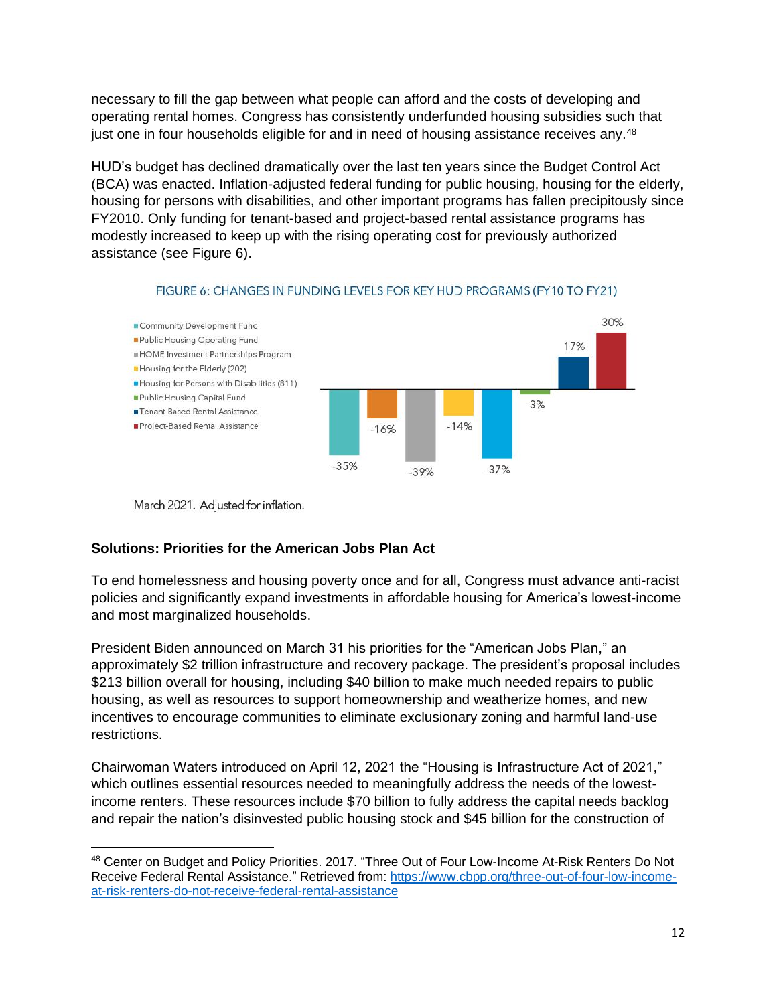necessary to fill the gap between what people can afford and the costs of developing and operating rental homes. Congress has consistently underfunded housing subsidies such that just one in four households eligible for and in need of housing assistance receives any.<sup>48</sup>

HUD's budget has declined dramatically over the last ten years since the Budget Control Act (BCA) was enacted. Inflation-adjusted federal funding for public housing, housing for the elderly, housing for persons with disabilities, and other important programs has fallen precipitously since FY2010. Only funding for tenant-based and project-based rental assistance programs has modestly increased to keep up with the rising operating cost for previously authorized assistance (see Figure 6).



#### FIGURE 6: CHANGES IN FUNDING LEVELS FOR KEY HUD PROGRAMS (FY10 TO FY21)

March 2021. Adjusted for inflation.

# **Solutions: Priorities for the American Jobs Plan Act**

To end homelessness and housing poverty once and for all, Congress must advance anti-racist policies and significantly expand investments in affordable housing for America's lowest-income and most marginalized households.

President Biden announced on March 31 his priorities for the "American Jobs Plan," an approximately \$2 trillion infrastructure and recovery package. The president's proposal includes \$213 billion overall for housing, including \$40 billion to make much needed repairs to public housing, as well as resources to support homeownership and weatherize homes, and new incentives to encourage communities to eliminate exclusionary zoning and harmful land-use restrictions.

Chairwoman Waters introduced on April 12, 2021 the "Housing is Infrastructure Act of 2021," which outlines essential resources needed to meaningfully address the needs of the lowestincome renters. These resources include \$70 billion to fully address the capital needs backlog and repair the nation's disinvested public housing stock and \$45 billion for the construction of

<sup>48</sup> Center on Budget and Policy Priorities. 2017. "Three Out of Four Low-Income At-Risk Renters Do Not Receive Federal Rental Assistance." Retrieved from: [https://www.cbpp.org/three-out-of-four-low-income](https://www.cbpp.org/three-out-of-four-low-income-at-risk-renters-do-not-receive-federal-rental-assistance)[at-risk-renters-do-not-receive-federal-rental-assistance](https://www.cbpp.org/three-out-of-four-low-income-at-risk-renters-do-not-receive-federal-rental-assistance)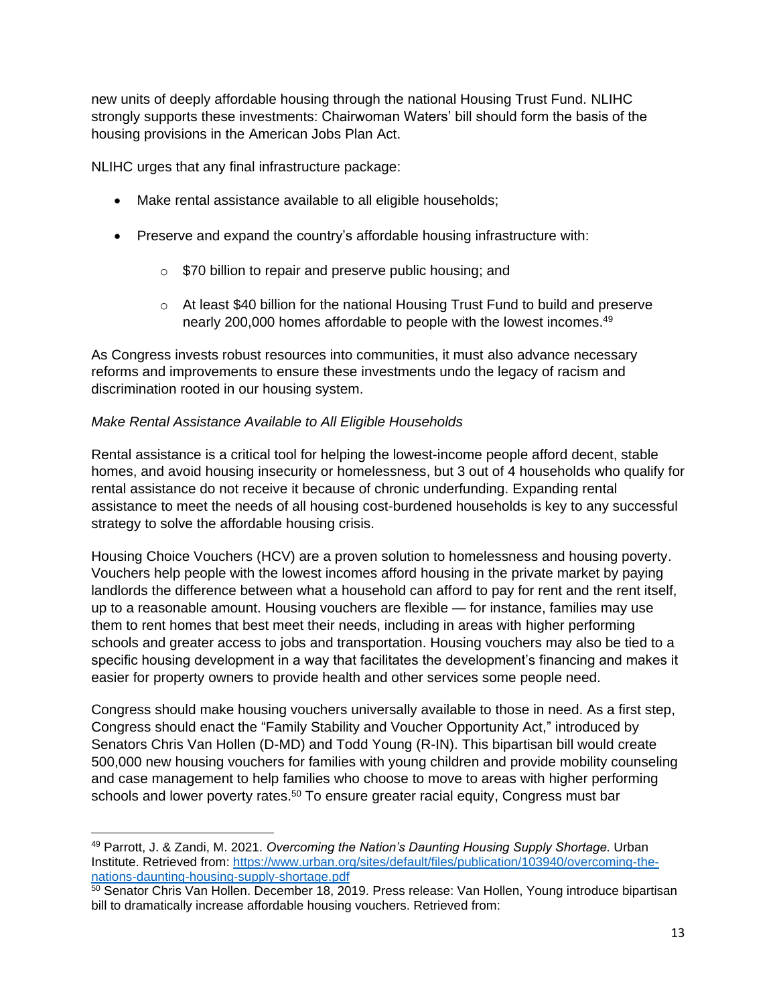new units of deeply affordable housing through the national Housing Trust Fund. NLIHC strongly supports these investments: Chairwoman Waters' bill should form the basis of the housing provisions in the American Jobs Plan Act.

NLIHC urges that any final infrastructure package:

- Make rental assistance available to all eligible households;
- Preserve and expand the country's affordable housing infrastructure with:
	- o \$70 billion to repair and preserve public housing; and
	- $\circ$  At least \$40 billion for the national Housing Trust Fund to build and preserve nearly 200,000 homes affordable to people with the lowest incomes.<sup>49</sup>

As Congress invests robust resources into communities, it must also advance necessary reforms and improvements to ensure these investments undo the legacy of racism and discrimination rooted in our housing system.

### *Make Rental Assistance Available to All Eligible Households*

Rental assistance is a critical tool for helping the lowest-income people afford decent, stable homes, and avoid housing insecurity or homelessness, but 3 out of 4 households who qualify for rental assistance do not receive it because of chronic underfunding. Expanding rental assistance to meet the needs of all housing cost-burdened households is key to any successful strategy to solve the affordable housing crisis.

Housing Choice Vouchers (HCV) are a proven solution to homelessness and housing poverty. Vouchers help people with the lowest incomes afford housing in the private market by paying landlords the difference between what a household can afford to pay for rent and the rent itself, up to a reasonable amount. Housing vouchers are flexible — for instance, families may use them to rent homes that best meet their needs, including in areas with higher performing schools and greater access to jobs and transportation. Housing vouchers may also be tied to a specific housing development in a way that facilitates the development's financing and makes it easier for property owners to provide health and other services some people need.

Congress should make housing vouchers universally available to those in need. As a first step, Congress should enact the "Family Stability and Voucher Opportunity Act," introduced by Senators Chris Van Hollen (D-MD) and Todd Young (R-IN). This bipartisan bill would create 500,000 new housing vouchers for families with young children and provide mobility counseling and case management to help families who choose to move to areas with higher performing schools and lower poverty rates.<sup>50</sup> To ensure greater racial equity, Congress must bar

<sup>49</sup> Parrott, J. & Zandi, M. 2021. *Overcoming the Nation's Daunting Housing Supply Shortage.* Urban Institute. Retrieved from[: https://www.urban.org/sites/default/files/publication/103940/overcoming-the](https://www.urban.org/sites/default/files/publication/103940/overcoming-the-nations-daunting-housing-supply-shortage.pdf)[nations-daunting-housing-supply-shortage.pdf](https://www.urban.org/sites/default/files/publication/103940/overcoming-the-nations-daunting-housing-supply-shortage.pdf)

<sup>&</sup>lt;sup>50</sup> Senator Chris Van Hollen. December 18, 2019. Press release: Van Hollen, Young introduce bipartisan bill to dramatically increase affordable housing vouchers. Retrieved from: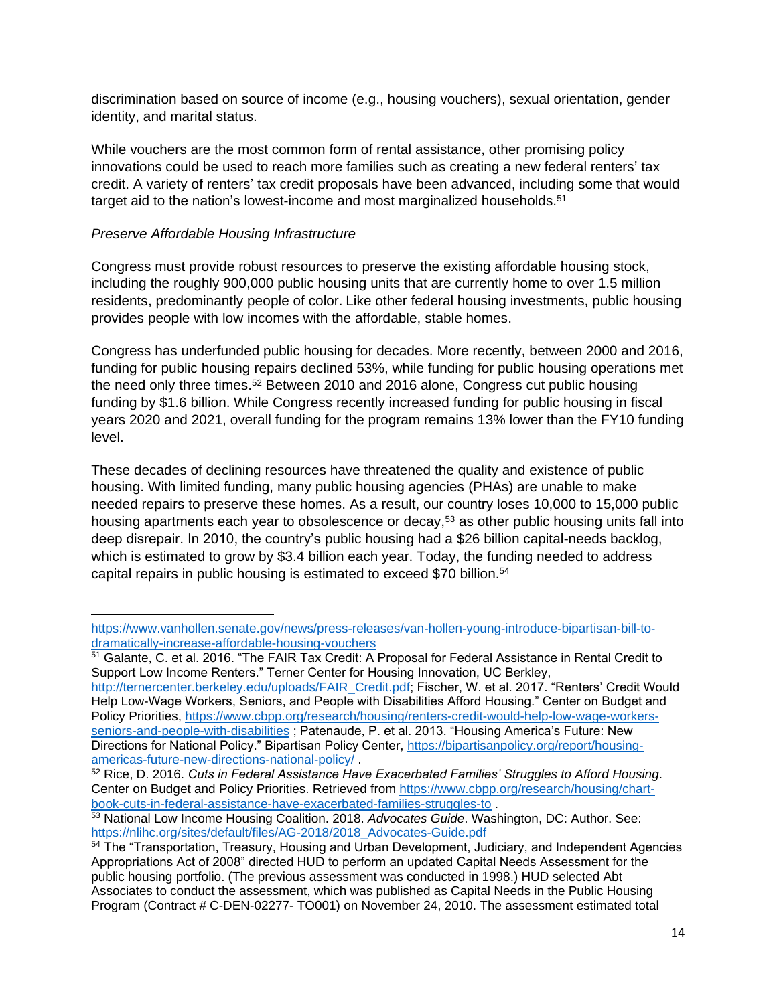discrimination based on source of income (e.g., housing vouchers), sexual orientation, gender identity, and marital status.

While vouchers are the most common form of rental assistance, other promising policy innovations could be used to reach more families such as creating a new federal renters' tax credit. A variety of renters' tax credit proposals have been advanced, including some that would target aid to the nation's lowest-income and most marginalized households.<sup>51</sup>

### *Preserve Affordable Housing Infrastructure*

Congress must provide robust resources to preserve the existing affordable housing stock, including the roughly 900,000 public housing units that are currently home to over 1.5 million residents, predominantly people of color. Like other federal housing investments, public housing provides people with low incomes with the affordable, stable homes.

Congress has underfunded public housing for decades. More recently, between 2000 and 2016, funding for public housing repairs declined 53%, while funding for public housing operations met the need only three times.<sup>52</sup> Between 2010 and 2016 alone, Congress cut public housing funding by \$1.6 billion. While Congress recently increased funding for public housing in fiscal years 2020 and 2021, overall funding for the program remains 13% lower than the FY10 funding level.

These decades of declining resources have threatened the quality and existence of public housing. With limited funding, many public housing agencies (PHAs) are unable to make needed repairs to preserve these homes. As a result, our country loses 10,000 to 15,000 public housing apartments each year to obsolescence or decay,<sup>53</sup> as other public housing units fall into deep disrepair. In 2010, the country's public housing had a \$26 billion capital-needs backlog, which is estimated to grow by \$3.4 billion each year. Today, the funding needed to address capital repairs in public housing is estimated to exceed \$70 billion.<sup>54</sup>

[http://ternercenter.berkeley.edu/uploads/FAIR\\_Credit.pdf;](http://ternercenter.berkeley.edu/uploads/FAIR_Credit.pdf) Fischer, W. et al. 2017. "Renters' Credit Would Help Low-Wage Workers, Seniors, and People with Disabilities Afford Housing." Center on Budget and Policy Priorities, [https://www.cbpp.org/research/housing/renters-credit-would-help-low-wage-workers](https://www.cbpp.org/research/housing/renters-credit-would-help-low-wage-workers-seniors-and-people-with-disabilities)[seniors-and-people-with-disabilities](https://www.cbpp.org/research/housing/renters-credit-would-help-low-wage-workers-seniors-and-people-with-disabilities) ; Patenaude, P. et al. 2013. "Housing America's Future: New Directions for National Policy." Bipartisan Policy Center, [https://bipartisanpolicy.org/report/housing](https://bipartisanpolicy.org/report/housing-americas-future-new-directions-national-policy/)[americas-future-new-directions-national-policy/](https://bipartisanpolicy.org/report/housing-americas-future-new-directions-national-policy/) .

[https://www.vanhollen.senate.gov/news/press-releases/van-hollen-young-introduce-bipartisan-bill-to](https://www.vanhollen.senate.gov/news/press-releases/van-hollen-young-introduce-bipartisan-bill-to-dramatically-increase-affordable-housing-vouchers)[dramatically-increase-affordable-housing-vouchers](https://www.vanhollen.senate.gov/news/press-releases/van-hollen-young-introduce-bipartisan-bill-to-dramatically-increase-affordable-housing-vouchers)

<sup>&</sup>lt;sup>51</sup> Galante, C. et al. 2016. "The FAIR Tax Credit: A Proposal for Federal Assistance in Rental Credit to Support Low Income Renters." Terner Center for Housing Innovation, UC Berkley,

<sup>52</sup> Rice, D. 2016. *Cuts in Federal Assistance Have Exacerbated Families' Struggles to Afford Housing*. Center on Budget and Policy Priorities. Retrieved from [https://www.cbpp.org/research/housing/chart](https://www.cbpp.org/research/housing/chart-book-cuts-in-federal-assistance-have-exacerbated-families-struggles-to)[book-cuts-in-federal-assistance-have-exacerbated-families-struggles-to](https://www.cbpp.org/research/housing/chart-book-cuts-in-federal-assistance-have-exacerbated-families-struggles-to) .

<sup>53</sup> National Low Income Housing Coalition. 2018. *Advocates Guide*. Washington, DC: Author. See: [https://nlihc.org/sites/default/files/AG-2018/2018\\_Advocates-Guide.pdf](https://nlihc.org/sites/default/files/AG-2018/2018_Advocates-Guide.pdf)

<sup>&</sup>lt;sup>54</sup> The "Transportation, Treasury, Housing and Urban Development, Judiciary, and Independent Agencies Appropriations Act of 2008" directed HUD to perform an updated Capital Needs Assessment for the public housing portfolio. (The previous assessment was conducted in 1998.) HUD selected Abt Associates to conduct the assessment, which was published as Capital Needs in the Public Housing Program (Contract # C-DEN-02277- TO001) on November 24, 2010. The assessment estimated total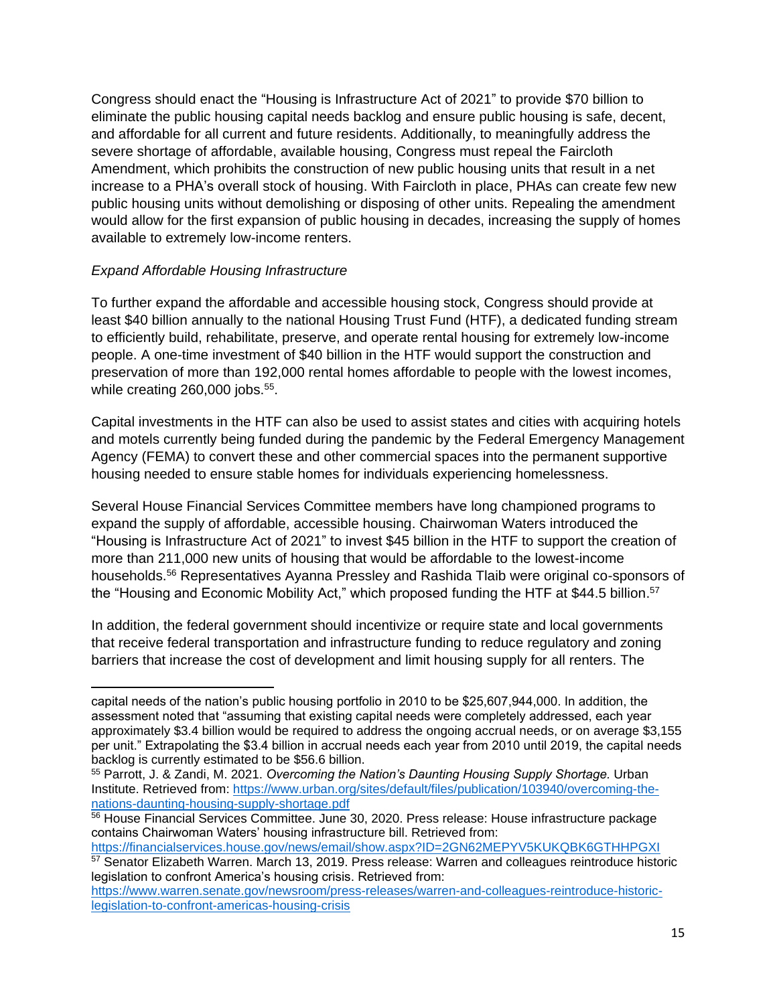Congress should enact the "Housing is Infrastructure Act of 2021" to provide \$70 billion to eliminate the public housing capital needs backlog and ensure public housing is safe, decent, and affordable for all current and future residents. Additionally, to meaningfully address the severe shortage of affordable, available housing, Congress must repeal the Faircloth Amendment, which prohibits the construction of new public housing units that result in a net increase to a PHA's overall stock of housing. With Faircloth in place, PHAs can create few new public housing units without demolishing or disposing of other units. Repealing the amendment would allow for the first expansion of public housing in decades, increasing the supply of homes available to extremely low-income renters.

#### *Expand Affordable Housing Infrastructure*

To further expand the affordable and accessible housing stock, Congress should provide at least \$40 billion annually to the national Housing Trust Fund (HTF), a dedicated funding stream to efficiently build, rehabilitate, preserve, and operate rental housing for extremely low-income people. A one-time investment of \$40 billion in the HTF would support the construction and preservation of more than 192,000 rental homes affordable to people with the lowest incomes, while creating 260,000 jobs.<sup>55</sup>.

Capital investments in the HTF can also be used to assist states and cities with acquiring hotels and motels currently being funded during the pandemic by the Federal Emergency Management Agency (FEMA) to convert these and other commercial spaces into the permanent supportive housing needed to ensure stable homes for individuals experiencing homelessness.

Several House Financial Services Committee members have long championed programs to expand the supply of affordable, accessible housing. Chairwoman Waters introduced the "Housing is Infrastructure Act of 2021" to invest \$45 billion in the HTF to support the creation of more than 211,000 new units of housing that would be affordable to the lowest-income households.<sup>56</sup> Representatives Ayanna Pressley and Rashida Tlaib were original co-sponsors of the "Housing and Economic Mobility Act," which proposed funding the HTF at \$44.5 billion.<sup>57</sup>

In addition, the federal government should incentivize or require state and local governments that receive federal transportation and infrastructure funding to reduce regulatory and zoning barriers that increase the cost of development and limit housing supply for all renters. The

legislation to confront America's housing crisis. Retrieved from: [https://www.warren.senate.gov/newsroom/press-releases/warren-and-colleagues-reintroduce-historic](https://www.warren.senate.gov/newsroom/press-releases/warren-and-colleagues-reintroduce-historic-legislation-to-confront-americas-housing-crisis)[legislation-to-confront-americas-housing-crisis](https://www.warren.senate.gov/newsroom/press-releases/warren-and-colleagues-reintroduce-historic-legislation-to-confront-americas-housing-crisis)

capital needs of the nation's public housing portfolio in 2010 to be \$25,607,944,000. In addition, the assessment noted that "assuming that existing capital needs were completely addressed, each year approximately \$3.4 billion would be required to address the ongoing accrual needs, or on average \$3,155 per unit." Extrapolating the \$3.4 billion in accrual needs each year from 2010 until 2019, the capital needs backlog is currently estimated to be \$56.6 billion.

<sup>55</sup> Parrott, J. & Zandi, M. 2021. *Overcoming the Nation's Daunting Housing Supply Shortage.* Urban Institute. Retrieved from[: https://www.urban.org/sites/default/files/publication/103940/overcoming-the](https://www.urban.org/sites/default/files/publication/103940/overcoming-the-nations-daunting-housing-supply-shortage.pdf)[nations-daunting-housing-supply-shortage.pdf](https://www.urban.org/sites/default/files/publication/103940/overcoming-the-nations-daunting-housing-supply-shortage.pdf)

<sup>56</sup> House Financial Services Committee. June 30, 2020. Press release: House infrastructure package contains Chairwoman Waters' housing infrastructure bill. Retrieved from:

<https://financialservices.house.gov/news/email/show.aspx?ID=2GN62MEPYV5KUKQBK6GTHHPGXI> <sup>57</sup> Senator Elizabeth Warren. March 13, 2019. Press release: Warren and colleagues reintroduce historic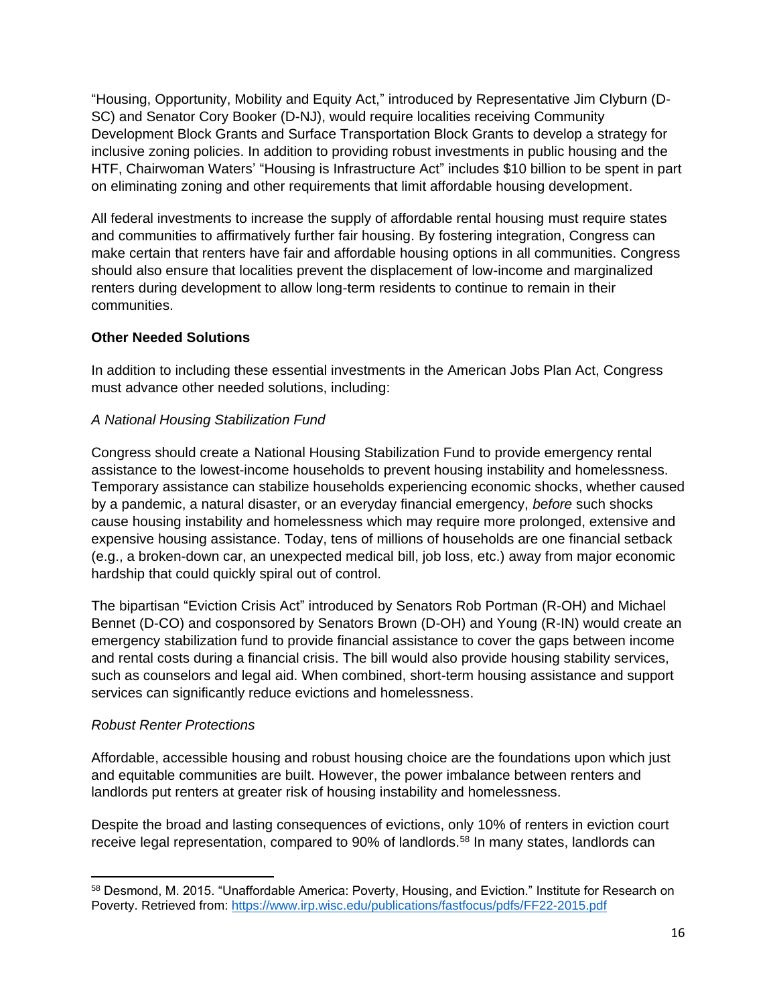"Housing, Opportunity, Mobility and Equity Act," introduced by Representative Jim Clyburn (D-SC) and Senator Cory Booker (D-NJ), would require localities receiving Community Development Block Grants and Surface Transportation Block Grants to develop a strategy for inclusive zoning policies. In addition to providing robust investments in public housing and the HTF, Chairwoman Waters' "Housing is Infrastructure Act" includes \$10 billion to be spent in part on eliminating zoning and other requirements that limit affordable housing development.

All federal investments to increase the supply of affordable rental housing must require states and communities to affirmatively further fair housing. By fostering integration, Congress can make certain that renters have fair and affordable housing options in all communities. Congress should also ensure that localities prevent the displacement of low-income and marginalized renters during development to allow long-term residents to continue to remain in their communities.

# **Other Needed Solutions**

In addition to including these essential investments in the American Jobs Plan Act, Congress must advance other needed solutions, including:

### *A National Housing Stabilization Fund*

Congress should create a National Housing Stabilization Fund to provide emergency rental assistance to the lowest-income households to prevent housing instability and homelessness. Temporary assistance can stabilize households experiencing economic shocks, whether caused by a pandemic, a natural disaster, or an everyday financial emergency, *before* such shocks cause housing instability and homelessness which may require more prolonged, extensive and expensive housing assistance. Today, tens of millions of households are one financial setback (e.g., a broken-down car, an unexpected medical bill, job loss, etc.) away from major economic hardship that could quickly spiral out of control.

The bipartisan "Eviction Crisis Act" introduced by Senators Rob Portman (R-OH) and Michael Bennet (D-CO) and cosponsored by Senators Brown (D-OH) and Young (R-IN) would create an emergency stabilization fund to provide financial assistance to cover the gaps between income and rental costs during a financial crisis. The bill would also provide housing stability services, such as counselors and legal aid. When combined, short-term housing assistance and support services can significantly reduce evictions and homelessness.

# *Robust Renter Protections*

Affordable, accessible housing and robust housing choice are the foundations upon which just and equitable communities are built. However, the power imbalance between renters and landlords put renters at greater risk of housing instability and homelessness.

Despite the broad and lasting consequences of evictions, only 10% of renters in eviction court receive legal representation, compared to 90% of landlords.<sup>58</sup> In many states, landlords can

<sup>58</sup> Desmond, M. 2015. "Unaffordable America: Poverty, Housing, and Eviction." Institute for Research on Poverty. Retrieved from:<https://www.irp.wisc.edu/publications/fastfocus/pdfs/FF22-2015.pdf>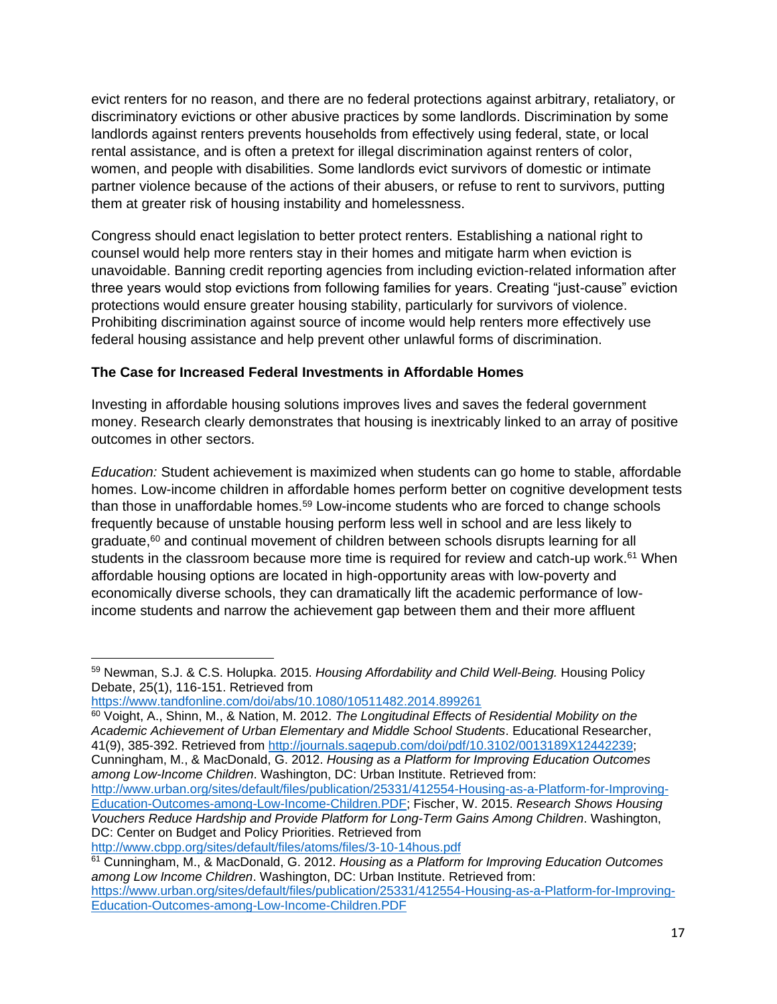evict renters for no reason, and there are no federal protections against arbitrary, retaliatory, or discriminatory evictions or other abusive practices by some landlords. Discrimination by some landlords against renters prevents households from effectively using federal, state, or local rental assistance, and is often a pretext for illegal discrimination against renters of color, women, and people with disabilities. Some landlords evict survivors of domestic or intimate partner violence because of the actions of their abusers, or refuse to rent to survivors, putting them at greater risk of housing instability and homelessness.

Congress should enact legislation to better protect renters. Establishing a national right to counsel would help more renters stay in their homes and mitigate harm when eviction is unavoidable. Banning credit reporting agencies from including eviction-related information after three years would stop evictions from following families for years. Creating "just-cause" eviction protections would ensure greater housing stability, particularly for survivors of violence. Prohibiting discrimination against source of income would help renters more effectively use federal housing assistance and help prevent other unlawful forms of discrimination.

### **The Case for Increased Federal Investments in Affordable Homes**

Investing in affordable housing solutions improves lives and saves the federal government money. Research clearly demonstrates that housing is inextricably linked to an array of positive outcomes in other sectors.

*Education:* Student achievement is maximized when students can go home to stable, affordable homes. Low-income children in affordable homes perform better on cognitive development tests than those in unaffordable homes. <sup>59</sup> Low-income students who are forced to change schools frequently because of unstable housing perform less well in school and are less likely to  $graduate,60$  and continual movement of children between schools disrupts learning for all students in the classroom because more time is required for review and catch-up work.<sup>61</sup> When affordable housing options are located in high-opportunity areas with low-poverty and economically diverse schools, they can dramatically lift the academic performance of lowincome students and narrow the achievement gap between them and their more affluent

```
https://www.tandfonline.com/doi/abs/10.1080/10511482.2014.899261
```
<sup>59</sup> Newman, S.J. & C.S. Holupka. 2015. *Housing Affordability and Child Well-Being.* Housing Policy Debate, 25(1), 116-151. Retrieved from

<sup>60</sup> Voight, A., Shinn, M., & Nation, M. 2012. *The Longitudinal Effects of Residential Mobility on the Academic Achievement of Urban Elementary and Middle School Students*. Educational Researcher, 41(9), 385-392. Retrieved from [http://journals.sagepub.com/doi/pdf/10.3102/0013189X12442239;](http://journals.sagepub.com/doi/pdf/10.3102/0013189X12442239) Cunningham, M., & MacDonald, G. 2012. *Housing as a Platform for Improving Education Outcomes among Low-Income Children*. Washington, DC: Urban Institute. Retrieved from: [http://www.urban.org/sites/default/files/publication/25331/412554-Housing-as-a-Platform-for-Improving-](http://www.urban.org/sites/default/files/publication/25331/412554-Housing-as-a-Platform-for-Improving-Education-Outcomes-among-Low-Income-Children.PDF)

[Education-Outcomes-among-Low-Income-Children.PDF;](http://www.urban.org/sites/default/files/publication/25331/412554-Housing-as-a-Platform-for-Improving-Education-Outcomes-among-Low-Income-Children.PDF) Fischer, W. 2015. *Research Shows Housing Vouchers Reduce Hardship and Provide Platform for Long-Term Gains Among Children*. Washington, DC: Center on Budget and Policy Priorities. Retrieved from

<http://www.cbpp.org/sites/default/files/atoms/files/3-10-14hous.pdf>

<sup>61</sup> Cunningham, M., & MacDonald, G. 2012. *Housing as a Platform for Improving Education Outcomes among Low Income Children*. Washington, DC: Urban Institute. Retrieved from:

[https://www.urban.org/sites/default/files/publication/25331/412554-Housing-as-a-Platform-for-Improving-](https://www.urban.org/sites/default/files/publication/25331/412554-Housing-as-a-Platform-for-Improving-Education-Outcomes-among-Low-Income-Children.PDF)[Education-Outcomes-among-Low-Income-Children.PDF](https://www.urban.org/sites/default/files/publication/25331/412554-Housing-as-a-Platform-for-Improving-Education-Outcomes-among-Low-Income-Children.PDF)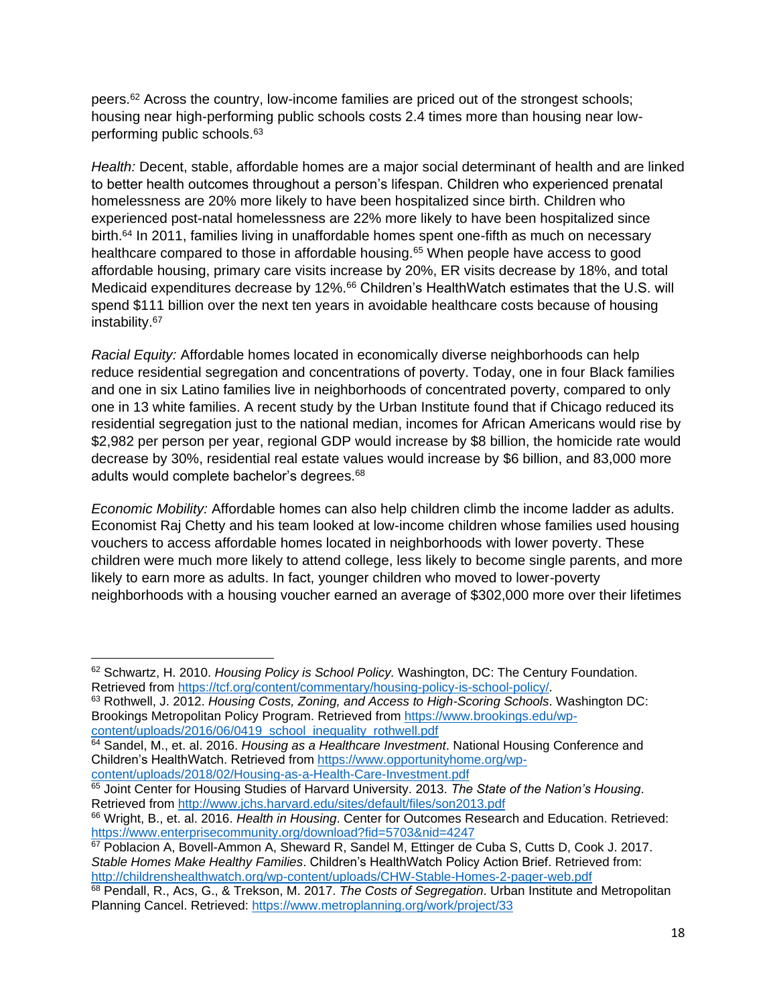peers.<sup>62</sup> Across the country, low-income families are priced out of the strongest schools; housing near high-performing public schools costs 2.4 times more than housing near lowperforming public schools.<sup>63</sup>

*Health:* Decent, stable, affordable homes are a major social determinant of health and are linked to better health outcomes throughout a person's lifespan. Children who experienced prenatal homelessness are 20% more likely to have been hospitalized since birth. Children who experienced post-natal homelessness are 22% more likely to have been hospitalized since birth.<sup>64</sup> In 2011, families living in unaffordable homes spent one-fifth as much on necessary healthcare compared to those in affordable housing.<sup>65</sup> When people have access to good affordable housing, primary care visits increase by 20%, ER visits decrease by 18%, and total Medicaid expenditures decrease by 12%.<sup>66</sup> Children's HealthWatch estimates that the U.S. will spend \$111 billion over the next ten years in avoidable healthcare costs because of housing instability. 67

*Racial Equity:* Affordable homes located in economically diverse neighborhoods can help reduce residential segregation and concentrations of poverty. Today, one in four Black families and one in six Latino families live in neighborhoods of concentrated poverty, compared to only one in 13 white families. A recent study by the Urban Institute found that if Chicago reduced its residential segregation just to the national median, incomes for African Americans would rise by \$2,982 per person per year, regional GDP would increase by \$8 billion, the homicide rate would decrease by 30%, residential real estate values would increase by \$6 billion, and 83,000 more adults would complete bachelor's degrees. 68

*Economic Mobility:* Affordable homes can also help children climb the income ladder as adults. Economist Raj Chetty and his team looked at low-income children whose families used housing vouchers to access affordable homes located in neighborhoods with lower poverty. These children were much more likely to attend college, less likely to become single parents, and more likely to earn more as adults. In fact, younger children who moved to lower-poverty neighborhoods with a housing voucher earned an average of \$302,000 more over their lifetimes

<sup>62</sup> Schwartz, H. 2010. *Housing Policy is School Policy.* Washington, DC: The Century Foundation. Retrieved from [https://tcf.org/content/commentary/housing-policy-is-school-policy/.](https://tcf.org/content/commentary/housing-policy-is-school-policy/)

<sup>63</sup> Rothwell, J. 2012. *Housing Costs, Zoning, and Access to High-Scoring Schools*. Washington DC: Brookings Metropolitan Policy Program. Retrieved from [https://www.brookings.edu/wp](https://www.brookings.edu/wp-content/uploads/2016/06/0419_school_inequality_rothwell.pdf)[content/uploads/2016/06/0419\\_school\\_inequality\\_rothwell.pdf](https://www.brookings.edu/wp-content/uploads/2016/06/0419_school_inequality_rothwell.pdf)

<sup>64</sup> Sandel, M., et. al. 2016. *Housing as a Healthcare Investment*. National Housing Conference and Children's HealthWatch. Retrieved from [https://www.opportunityhome.org/wp-](https://www.opportunityhome.org/wp-content/uploads/2018/02/Housing-as-a-Health-Care-Investment.pdf)

[content/uploads/2018/02/Housing-as-a-Health-Care-Investment.pdf](https://www.opportunityhome.org/wp-content/uploads/2018/02/Housing-as-a-Health-Care-Investment.pdf)

<sup>65</sup> Joint Center for Housing Studies of Harvard University. 2013. *The State of the Nation's Housing*. Retrieved from <http://www.jchs.harvard.edu/sites/default/files/son2013.pdf>

<sup>66</sup> Wright, B., et. al. 2016. *Health in Housing*. Center for Outcomes Research and Education. Retrieved: <https://www.enterprisecommunity.org/download?fid=5703&nid=4247>

<sup>67</sup> Poblacion A, Bovell-Ammon A, Sheward R, Sandel M, Ettinger de Cuba S, Cutts D, Cook J. 2017. *Stable Homes Make Healthy Families*. Children's HealthWatch Policy Action Brief. Retrieved from: <http://childrenshealthwatch.org/wp-content/uploads/CHW-Stable-Homes-2-pager-web.pdf>

<sup>68</sup> Pendall, R., Acs, G., & Trekson, M. 2017. *The Costs of Segregation*. Urban Institute and Metropolitan Planning Cancel. Retrieved:<https://www.metroplanning.org/work/project/33>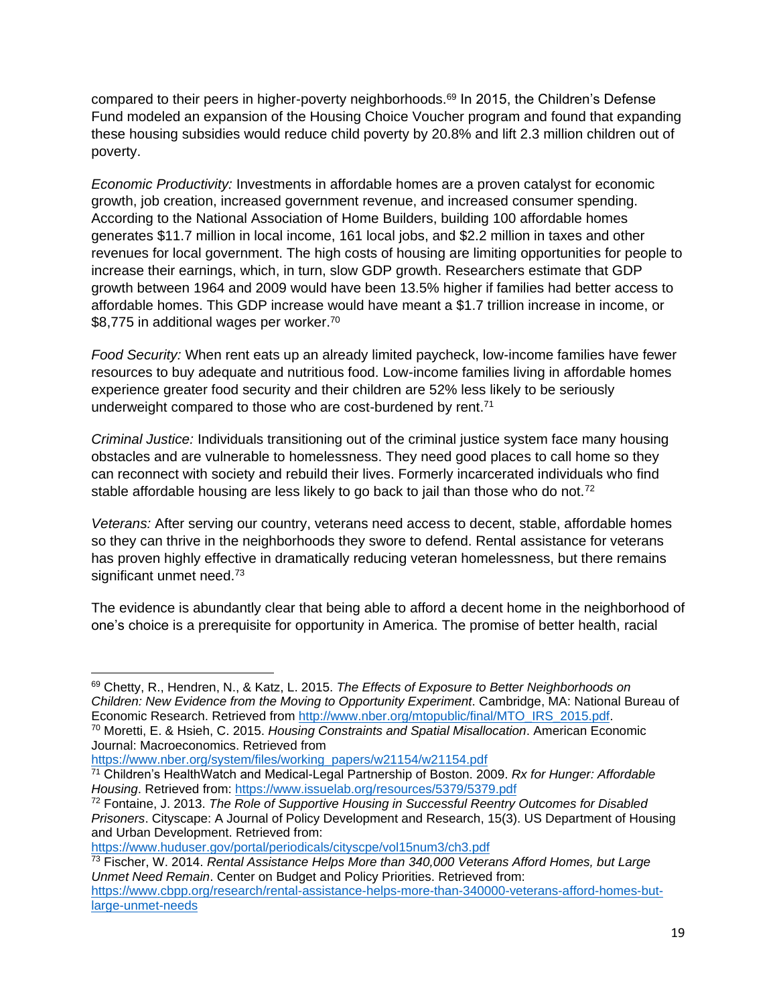compared to their peers in higher-poverty neighborhoods.<sup>69</sup> In 2015, the Children's Defense Fund modeled an expansion of the Housing Choice Voucher program and found that expanding these housing subsidies would reduce child poverty by 20.8% and lift 2.3 million children out of poverty.

*Economic Productivity:* Investments in affordable homes are a proven catalyst for economic growth, job creation, increased government revenue, and increased consumer spending. According to the National Association of Home Builders, building 100 affordable homes generates \$11.7 million in local income, 161 local jobs, and \$2.2 million in taxes and other revenues for local government. The high costs of housing are limiting opportunities for people to increase their earnings, which, in turn, slow GDP growth. Researchers estimate that GDP growth between 1964 and 2009 would have been 13.5% higher if families had better access to affordable homes. This GDP increase would have meant a \$1.7 trillion increase in income, or \$8,775 in additional wages per worker.<sup>70</sup>

*Food Security:* When rent eats up an already limited paycheck, low-income families have fewer resources to buy adequate and nutritious food. Low-income families living in affordable homes experience greater food security and their children are 52% less likely to be seriously underweight compared to those who are cost-burdened by rent.<sup>71</sup>

*Criminal Justice:* Individuals transitioning out of the criminal justice system face many housing obstacles and are vulnerable to homelessness. They need good places to call home so they can reconnect with society and rebuild their lives. Formerly incarcerated individuals who find stable affordable housing are less likely to go back to jail than those who do not.<sup>72</sup>

*Veterans:* After serving our country, veterans need access to decent, stable, affordable homes so they can thrive in the neighborhoods they swore to defend. Rental assistance for veterans has proven highly effective in dramatically reducing veteran homelessness, but there remains significant unmet need.<sup>73</sup>

The evidence is abundantly clear that being able to afford a decent home in the neighborhood of one's choice is a prerequisite for opportunity in America. The promise of better health, racial

<https://www.huduser.gov/portal/periodicals/cityscpe/vol15num3/ch3.pdf>

<sup>73</sup> Fischer, W. 2014. *Rental Assistance Helps More than 340,000 Veterans Afford Homes, but Large Unmet Need Remain*. Center on Budget and Policy Priorities. Retrieved from: [https://www.cbpp.org/research/rental-assistance-helps-more-than-340000-veterans-afford-homes-but-](https://www.cbpp.org/research/rental-assistance-helps-more-than-340000-veterans-afford-homes-but-large-unmet-needs)

[large-unmet-needs](https://www.cbpp.org/research/rental-assistance-helps-more-than-340000-veterans-afford-homes-but-large-unmet-needs)

<sup>69</sup> Chetty, R., Hendren, N., & Katz, L. 2015. *The Effects of Exposure to Better Neighborhoods on Children: New Evidence from the Moving to Opportunity Experiment*. Cambridge, MA: National Bureau of Economic Research. Retrieved from [http://www.nber.org/mtopublic/final/MTO\\_IRS\\_2015.pdf.](http://www.nber.org/mtopublic/final/MTO_IRS_2015.pdf)

<sup>70</sup> Moretti, E. & Hsieh, C. 2015. *Housing Constraints and Spatial Misallocation*. American Economic Journal: Macroeconomics. Retrieved from

[https://www.nber.org/system/files/working\\_papers/w21154/w21154.pdf](https://www.nber.org/system/files/working_papers/w21154/w21154.pdf)

<sup>71</sup> Children's HealthWatch and Medical-Legal Partnership of Boston. 2009. *Rx for Hunger: Affordable Housing*. Retrieved from:<https://www.issuelab.org/resources/5379/5379.pdf>

<sup>72</sup> Fontaine, J. 2013. *The Role of Supportive Housing in Successful Reentry Outcomes for Disabled Prisoners*. Cityscape: A Journal of Policy Development and Research, 15(3). US Department of Housing and Urban Development. Retrieved from: